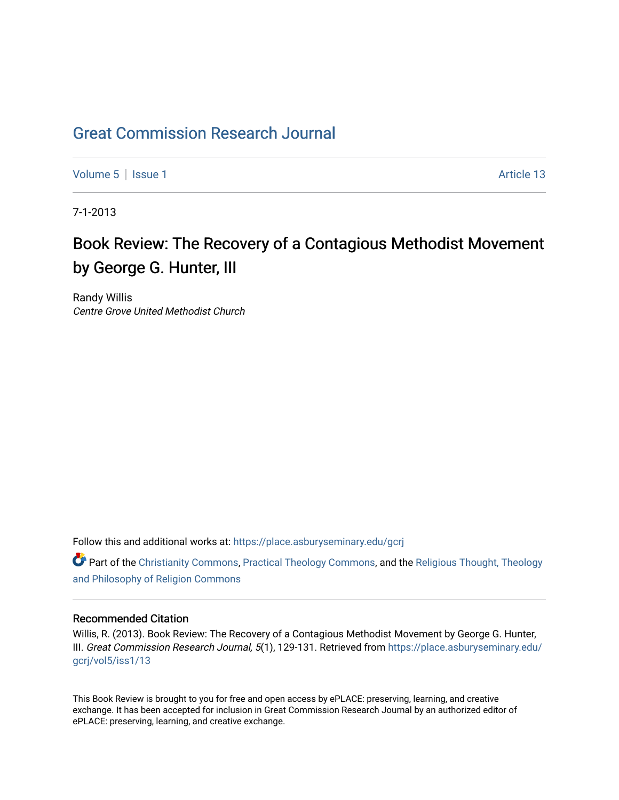## [Great Commission Research Journal](https://place.asburyseminary.edu/gcrj)

[Volume 5](https://place.asburyseminary.edu/gcrj/vol5) | [Issue 1](https://place.asburyseminary.edu/gcrj/vol5/iss1) Article 13

7-1-2013

## Book Review: The Recovery of a Contagious Methodist Movement by George G. Hunter, III

Randy Willis Centre Grove United Methodist Church

Follow this and additional works at: [https://place.asburyseminary.edu/gcrj](https://place.asburyseminary.edu/gcrj?utm_source=place.asburyseminary.edu%2Fgcrj%2Fvol5%2Fiss1%2F13&utm_medium=PDF&utm_campaign=PDFCoverPages) 

**C** Part of the [Christianity Commons,](http://network.bepress.com/hgg/discipline/1181?utm_source=place.asburyseminary.edu%2Fgcrj%2Fvol5%2Fiss1%2F13&utm_medium=PDF&utm_campaign=PDFCoverPages) [Practical Theology Commons](http://network.bepress.com/hgg/discipline/1186?utm_source=place.asburyseminary.edu%2Fgcrj%2Fvol5%2Fiss1%2F13&utm_medium=PDF&utm_campaign=PDFCoverPages), and the Religious Thought, Theology [and Philosophy of Religion Commons](http://network.bepress.com/hgg/discipline/544?utm_source=place.asburyseminary.edu%2Fgcrj%2Fvol5%2Fiss1%2F13&utm_medium=PDF&utm_campaign=PDFCoverPages)

## Recommended Citation

Willis, R. (2013). Book Review: The Recovery of a Contagious Methodist Movement by George G. Hunter, III. Great Commission Research Journal, 5(1), 129-131. Retrieved from [https://place.asburyseminary.edu/](https://place.asburyseminary.edu/gcrj/vol5/iss1/13?utm_source=place.asburyseminary.edu%2Fgcrj%2Fvol5%2Fiss1%2F13&utm_medium=PDF&utm_campaign=PDFCoverPages) [gcrj/vol5/iss1/13](https://place.asburyseminary.edu/gcrj/vol5/iss1/13?utm_source=place.asburyseminary.edu%2Fgcrj%2Fvol5%2Fiss1%2F13&utm_medium=PDF&utm_campaign=PDFCoverPages)

This Book Review is brought to you for free and open access by ePLACE: preserving, learning, and creative exchange. It has been accepted for inclusion in Great Commission Research Journal by an authorized editor of ePLACE: preserving, learning, and creative exchange.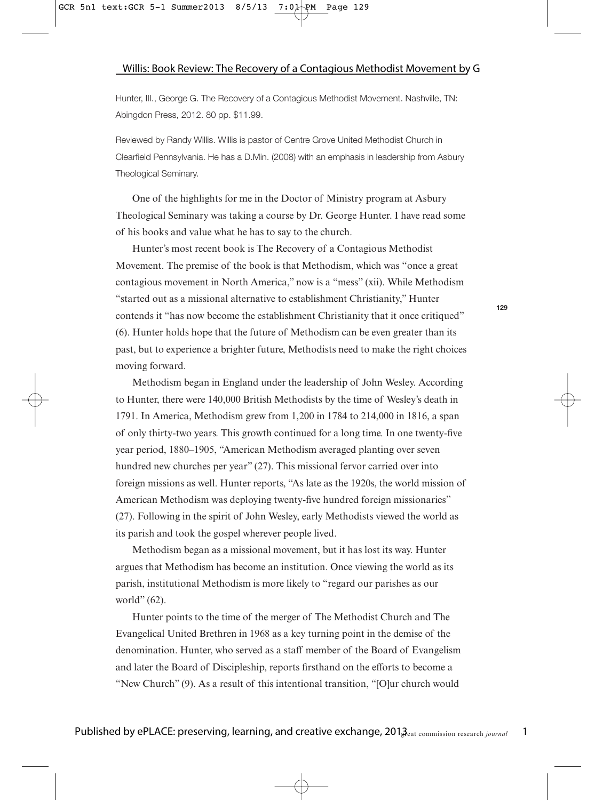Hunter, III., George G. The Recovery of a Contagious Methodist Movement. Nashville, TN: Abingdon Press, 2012. 80 pp. \$11.99.

Reviewed by Randy Willis. Willis is pastor of Centre Grove United Methodist Church in Clearfield Pennsylvania. He has a D.Min. (2008) with an emphasis in leadership from Asbury Theological Seminary.

One of the highlights for me in the Doctor of Ministry program at Asbury Theological Seminary was taking a course by Dr. George Hunter. I have read some of his books and value what he has to say to the church.

Hunter's most recent book is The Recovery of a Contagious Methodist Movement. The premise of the book is that Methodism, which was "once a great contagious movement in North America," now is a "mess" (xii). While Methodism "started out as a missional alternative to establishment Christianity," Hunter contends it "has now become the establishment Christianity that it once critiqued" (6). Hunter holds hope that the future of Methodism can be even greater than its past, but to experience a brighter future, Methodists need to make the right choices moving forward.

Methodism began in England under the leadership of John Wesley. According to Hunter, there were 140,000 British Methodists by the time of Wesley's death in 1791. In America, Methodism grew from 1,200 in 1784 to 214,000 in 1816, a span of only thirty-two years. This growth continued for a long time. In one twenty-five year period, 1880–1905, "American Methodism averaged planting over seven hundred new churches per year" (27). This missional fervor carried over into foreign missions as well. Hunter reports, "As late as the 1920s, the world mission of American Methodism was deploying twenty-five hundred foreign missionaries" (27). Following in the spirit of John Wesley, early Methodists viewed the world as its parish and took the gospel wherever people lived.

Methodism began as a missional movement, but it has lost its way. Hunter argues that Methodism has become an institution. Once viewing the world as its parish, institutional Methodism is more likely to "regard our parishes as our world" (62).

Hunter points to the time of the merger of The Methodist Church and The Evangelical United Brethren in 1968 as a key turning point in the demise of the denomination. Hunter, who served as a staff member of the Board of Evangelism and later the Board of Discipleship, reports firsthand on the efforts to become a "New Church" (9). As a result of this intentional transition, "[O]ur church would

**129**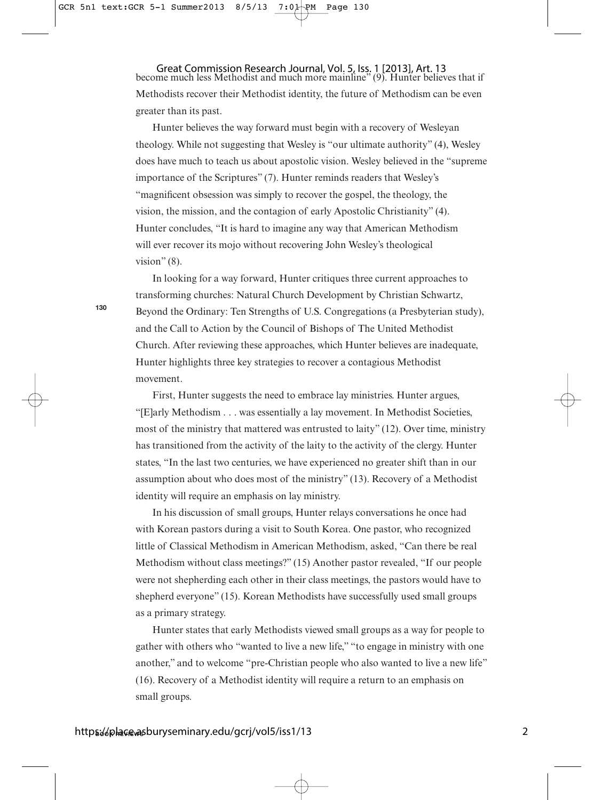Great Commission Research Journal, Vol. 5, Iss. 1 [2013], Art. 13<br>become much less Methodist and much more mainline" (9). Hunter believes that if Methodists recover their Methodist identity, the future of Methodism can be even greater than its past.

Hunter believes the way forward must begin with a recovery of Wesleyan theology. While not suggesting that Wesley is "our ultimate authority" (4), Wesley does have much to teach us about apostolic vision. Wesley believed in the "supreme importance of the Scriptures" (7). Hunter reminds readers that Wesley's "magnificent obsession was simply to recover the gospel, the theology, the vision, the mission, and the contagion of early Apostolic Christianity" (4). Hunter concludes, "It is hard to imagine any way that American Methodism will ever recover its mojo without recovering John Wesley's theological vision"  $(8)$ .

In looking for a way forward, Hunter critiques three current approaches to transforming churches: Natural Church Development by Christian Schwartz, Beyond the Ordinary: Ten Strengths of U.S. Congregations (a Presbyterian study), and the Call to Action by the Council of Bishops of The United Methodist Church. After reviewing these approaches, which Hunter believes are inadequate, Hunter highlights three key strategies to recover a contagious Methodist movement.

First, Hunter suggests the need to embrace lay ministries. Hunter argues, "[E]arly Methodism . . . was essentially a lay movement. In Methodist Societies, most of the ministry that mattered was entrusted to laity" (12). Over time, ministry has transitioned from the activity of the laity to the activity of the clergy. Hunter states, "In the last two centuries, we have experienced no greater shift than in our assumption about who does most of the ministry" (13). Recovery of a Methodist identity will require an emphasis on lay ministry.

In his discussion of small groups, Hunter relays conversations he once had with Korean pastors during a visit to South Korea. One pastor, who recognized little of Classical Methodism in American Methodism, asked, "Can there be real Methodism without class meetings?" (15) Another pastor revealed, "If our people were not shepherding each other in their class meetings, the pastors would have to shepherd everyone" (15). Korean Methodists have successfully used small groups as a primary strategy.

Hunter states that early Methodists viewed small groups as a way for people to gather with others who "wanted to live a new life," "to engage in ministry with one another," and to welcome "pre-Christian people who also wanted to live a new life" (16). Recovery of a Methodist identity will require a return to an emphasis on small groups.

**130**

2